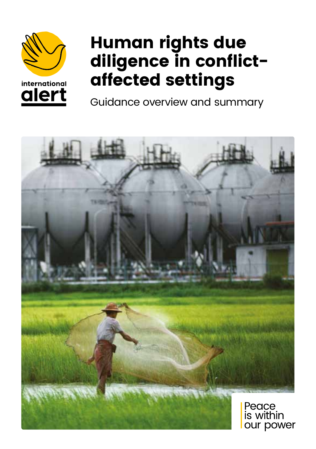

international alert



Guidance overview and summary

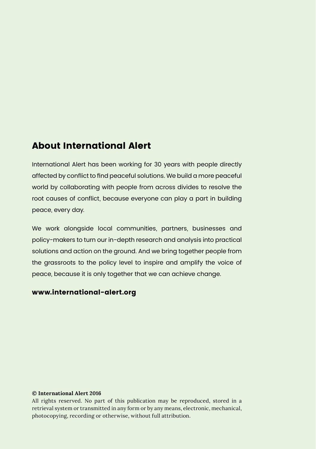### About International Alert

International Alert has been working for 30 years with people directly affected by conflict to find peaceful solutions. We build a more peaceful world by collaborating with people from across divides to resolve the root causes of conflict, because everyone can play a part in building peace, every day.

We work alongside local communities, partners, businesses and policy-makers to turn our in-depth research and analysis into practical solutions and action on the ground. And we bring together people from the grassroots to the policy level to inspire and amplify the voice of peace, because it is only together that we can achieve change.

### www.international-alert.org

#### **© International Alert 2016**

All rights reserved. No part of this publication may be reproduced, stored in a retrieval system or transmitted in any form or by any means, electronic, mechanical, photocopying, recording or otherwise, without full attribution.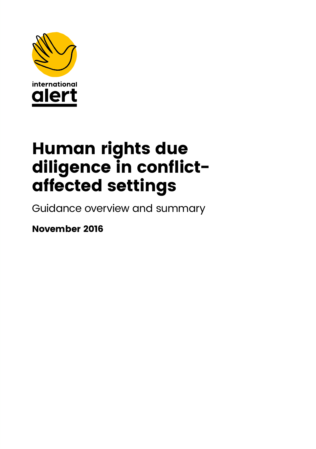

# Human rights due diligence in conflictaffected settings

Guidance overview and summary

November 2016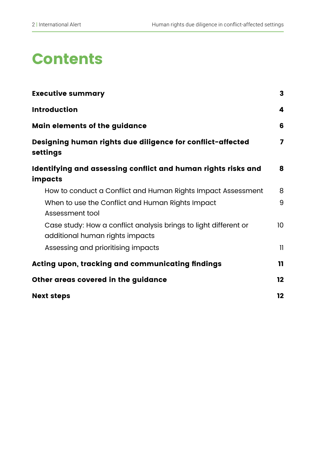## **Contents**

| <b>Executive summary</b>                                                                            | 3            |
|-----------------------------------------------------------------------------------------------------|--------------|
| <b>Introduction</b>                                                                                 | 4            |
| Main elements of the guidance                                                                       | 6            |
| Designing human rights due diligence for conflict-affected<br>settings                              | 7            |
| Identifying and assessing conflict and human rights risks and<br>impacts                            | 8            |
| How to conduct a Conflict and Human Rights Impact Assessment                                        | 8            |
| When to use the Conflict and Human Rights Impact<br>Assessment tool                                 | 9            |
| Case study: How a conflict analysis brings to light different or<br>additional human rights impacts | 10           |
| Assessing and prioritising impacts                                                                  | $\mathbf{1}$ |
| Acting upon, tracking and communicating findings                                                    | 11           |
| Other areas covered in the guidance                                                                 |              |
| <b>Next steps</b>                                                                                   |              |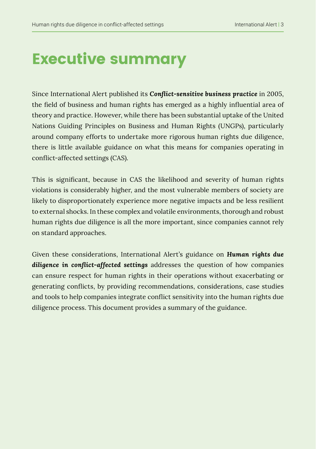## Executive summary

Since International Alert published its *Conflict-sensitive business practice* in 2005, the field of business and human rights has emerged as a highly influential area of theory and practice. However, while there has been substantial uptake of the United Nations Guiding Principles on Business and Human Rights (UNGPs), particularly around company efforts to undertake more rigorous human rights due diligence, there is little available guidance on what this means for companies operating in conflict-affected settings (CAS).

This is significant, because in CAS the likelihood and severity of human rights violations is considerably higher, and the most vulnerable members of society are likely to disproportionately experience more negative impacts and be less resilient to external shocks. In these complex and volatile environments, thorough and robust human rights due diligence is all the more important, since companies cannot rely on standard approaches.

Given these considerations, International Alert's guidance on *Human rights due diligence in conflict-affected settings* addresses the question of how companies can ensure respect for human rights in their operations without exacerbating or generating conflicts, by providing recommendations, considerations, case studies and tools to help companies integrate conflict sensitivity into the human rights due diligence process. This document provides a summary of the guidance.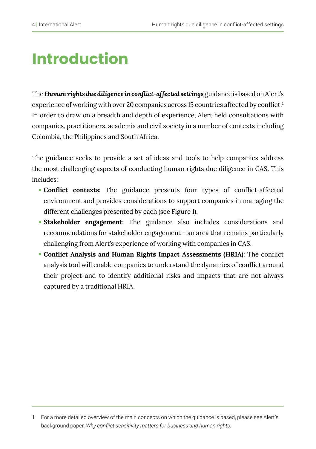## Introduction

The *Human rights due diligence in conflict-affected settings* guidance is based on Alert's experience of working with over 20 companies across 15 countries affected by conflict.<sup>1</sup> In order to draw on a breadth and depth of experience, Alert held consultations with companies, practitioners, academia and civil society in a number of contexts including Colombia, the Philippines and South Africa.

The guidance seeks to provide a set of ideas and tools to help companies address the most challenging aspects of conducting human rights due diligence in CAS. This includes:

- **Conflict contexts:** The guidance presents four types of conflict-affected environment and provides considerations to support companies in managing the different challenges presented by each (see Figure 1).
- **Stakeholder engagement:** The guidance also includes considerations and recommendations for stakeholder engagement – an area that remains particularly challenging from Alert's experience of working with companies in CAS.
- **Conflict Analysis and Human Rights Impact Assessments (HRIA)**: The conflict analysis tool will enable companies to understand the dynamics of conflict around their project and to identify additional risks and impacts that are not always captured by a traditional HRIA.

<sup>1</sup> For a more detailed overview of the main concepts on which the guidance is based, please see Alert's background paper, *Why conflict sensitivity matters for business and human rights*.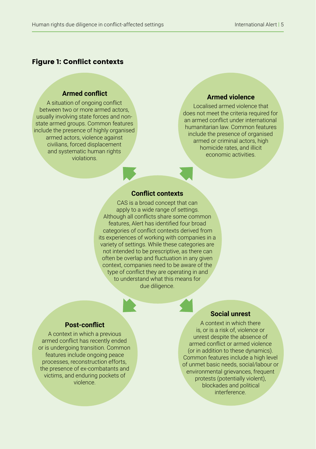#### Figure 1: Conflict contexts

#### **Armed conflict**

A situation of ongoing conflict between two or more armed actors, usually involving state forces and nonstate armed groups. Common features include the presence of highly organised armed actors, violence against civilians, forced displacement and systematic human rights violations.

#### **Armed violence**

Localised armed violence that does not meet the criteria required for an armed conflict under international humanitarian law. Common features include the presence of organised armed or criminal actors, high homicide rates, and illicit economic activities.

#### **Conflict contexts**

CAS is a broad concept that can apply to a wide range of settings. Although all conflicts share some common features, Alert has identified four broad categories of conflict contexts derived from its experiences of working with companies in a variety of settings. While these categories are not intended to be prescriptive, as there can often be overlap and fluctuation in any given context, companies need to be aware of the type of conflict they are operating in and to understand what this means for due diligence.

#### **Post-conflict**

A context in which a previous armed conflict has recently ended or is undergoing transition. Common features include ongoing peace processes, reconstruction efforts, the presence of ex-combatants and victims, and enduring pockets of violence.

#### **Social unrest**

A context in which there is, or is a risk of, violence or unrest despite the absence of armed conflict or armed violence (or in addition to these dynamics). Common features include a high level of unmet basic needs, social/labour or environmental grievances, frequent protests (potentially violent), blockades and political interference.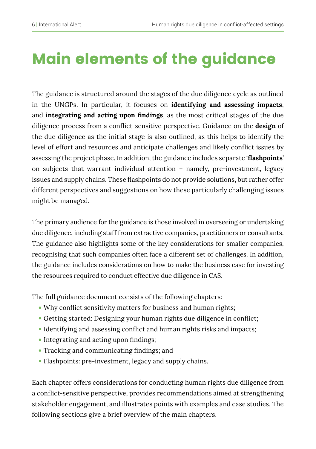# Main elements of the guidance

The guidance is structured around the stages of the due diligence cycle as outlined in the UNGPs. In particular, it focuses on **identifying and assessing impacts**, and **integrating and acting upon findings**, as the most critical stages of the due diligence process from a conflict-sensitive perspective. Guidance on the **design** of the due diligence as the initial stage is also outlined, as this helps to identify the level of effort and resources and anticipate challenges and likely conflict issues by assessing the project phase. In addition, the guidance includes separate '**flashpoints**' on subjects that warrant individual attention – namely, pre-investment, legacy issues and supply chains. These flashpoints do not provide solutions, but rather offer different perspectives and suggestions on how these particularly challenging issues might be managed.

The primary audience for the guidance is those involved in overseeing or undertaking due diligence, including staff from extractive companies, practitioners or consultants. The guidance also highlights some of the key considerations for smaller companies, recognising that such companies often face a different set of challenges. In addition, the guidance includes considerations on how to make the business case for investing the resources required to conduct effective due diligence in CAS.

The full guidance document consists of the following chapters:

- Why conflict sensitivity matters for business and human rights;
- Getting started: Designing your human rights due diligence in conflict;
- Identifying and assessing conflict and human rights risks and impacts;
- Integrating and acting upon findings;
- Tracking and communicating findings; and
- Flashpoints: pre-investment, legacy and supply chains.

Each chapter offers considerations for conducting human rights due diligence from a conflict-sensitive perspective, provides recommendations aimed at strengthening stakeholder engagement, and illustrates points with examples and case studies. The following sections give a brief overview of the main chapters.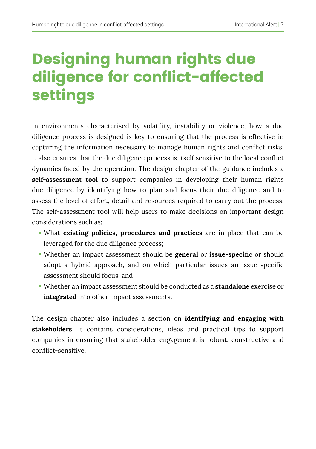## Designing human rights due diligence for conflict-affected settings

In environments characterised by volatility, instability or violence, how a due diligence process is designed is key to ensuring that the process is effective in capturing the information necessary to manage human rights and conflict risks. It also ensures that the due diligence process is itself sensitive to the local conflict dynamics faced by the operation. The design chapter of the guidance includes a **self-assessment tool** to support companies in developing their human rights due diligence by identifying how to plan and focus their due diligence and to assess the level of effort, detail and resources required to carry out the process. The self-assessment tool will help users to make decisions on important design considerations such as:

- What **existing policies, procedures and practices** are in place that can be leveraged for the due diligence process;
- Whether an impact assessment should be **general** or **issue-specific** or should adopt a hybrid approach, and on which particular issues an issue-specific assessment should focus; and
- Whether an impact assessment should be conducted as a **standalone** exercise or **integrated** into other impact assessments.

The design chapter also includes a section on **identifying and engaging with stakeholders**. It contains considerations, ideas and practical tips to support companies in ensuring that stakeholder engagement is robust, constructive and conflict-sensitive.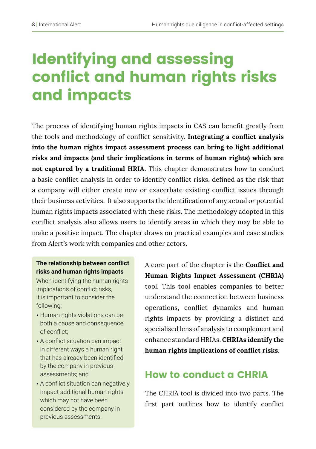## Identifying and assessing conflict and human rights risks and impacts

The process of identifying human rights impacts in CAS can benefit greatly from the tools and methodology of conflict sensitivity. **Integrating a conflict analysis into the human rights impact assessment process can bring to light additional risks and impacts (and their implications in terms of human rights) which are not captured by a traditional HRIA.** This chapter demonstrates how to conduct a basic conflict analysis in order to identify conflict risks, defined as the risk that a company will either create new or exacerbate existing conflict issues through their business activities. It also supports the identification of any actual or potential human rights impacts associated with these risks. The methodology adopted in this conflict analysis also allows users to identify areas in which they may be able to make a positive impact. The chapter draws on practical examples and case studies from Alert's work with companies and other actors.

### **The relationship between conflict risks and human rights impacts**

When identifying the human rights implications of conflict risks, it is important to consider the following:

- Human rights violations can be both a cause and consequence of conflict;
- A conflict situation can impact in different ways a human right that has already been identified by the company in previous assessments; and
- A conflict situation can negatively impact additional human rights which may not have been considered by the company in previous assessments.

A core part of the chapter is the **Conflict and Human Rights Impact Assessment (CHRIA)**  tool. This tool enables companies to better understand the connection between business operations, conflict dynamics and human rights impacts by providing a distinct and specialised lens of analysis to complement and enhance standard HRIAs. **CHRIAs identify the human rights implications of conflict risks**.

### How to conduct a CHRIA

The CHRIA tool is divided into two parts. The first part outlines how to identify conflict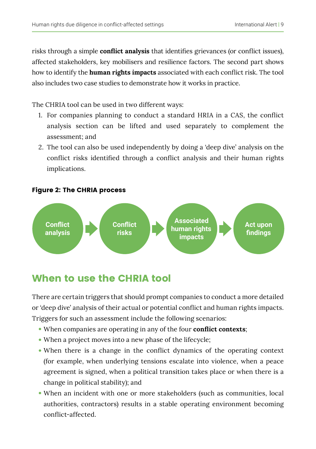risks through a simple **conflict analysis** that identifies grievances (or conflict issues), affected stakeholders, key mobilisers and resilience factors. The second part shows how to identify the **human rights impacts** associated with each conflict risk. The tool also includes two case studies to demonstrate how it works in practice.

The CHRIA tool can be used in two different ways:

- 1. For companies planning to conduct a standard HRIA in a CAS, the conflict analysis section can be lifted and used separately to complement the assessment; and
- 2. The tool can also be used independently by doing a 'deep dive' analysis on the conflict risks identified through a conflict analysis and their human rights implications.

#### Figure 2: The CHRIA process



### When to use the CHRIA tool

There are certain triggers that should prompt companies to conduct a more detailed or 'deep dive' analysis of their actual or potential conflict and human rights impacts. Triggers for such an assessment include the following scenarios:

- When companies are operating in any of the four **conflict contexts**;
- When a project moves into a new phase of the lifecycle;
- When there is a change in the conflict dynamics of the operating context (for example, when underlying tensions escalate into violence, when a peace agreement is signed, when a political transition takes place or when there is a change in political stability); and
- When an incident with one or more stakeholders (such as communities, local authorities, contractors) results in a stable operating environment becoming conflict-affected.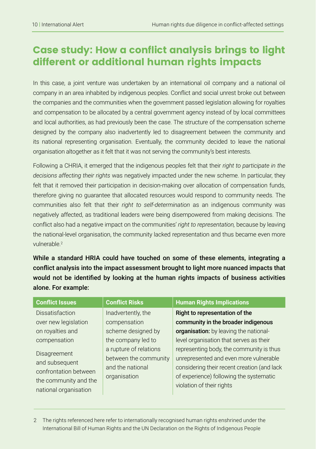### Case study: How a conflict analysis brings to light different or additional human rights impacts

In this case, a joint venture was undertaken by an international oil company and a national oil company in an area inhabited by indigenous peoples. Conflict and social unrest broke out between the companies and the communities when the government passed legislation allowing for royalties and compensation to be allocated by a central government agency instead of by local committees and local authorities, as had previously been the case. The structure of the compensation scheme designed by the company also inadvertently led to disagreement between the community and its national representing organisation. Eventually, the community decided to leave the national organisation altogether as it felt that it was not serving the community's best interests.

Following a CHRIA, it emerged that the indigenous peoples felt that their *right to participate in the decisions affecting their rights* was negatively impacted under the new scheme. In particular, they felt that it removed their participation in decision-making over allocation of compensation funds, therefore giving no guarantee that allocated resources would respond to community needs. The communities also felt that their *right to self-determination* as an indigenous community was negatively affected, as traditional leaders were being disempowered from making decisions. The conflict also had a negative impact on the communities' *right to representation,* because by leaving the national-level organisation, the community lacked representation and thus became even more vulnerable<sup>2</sup>

While a standard HRIA could have touched on some of these elements, integrating a conflict analysis into the impact assessment brought to light more nuanced impacts that would not be identified by looking at the human rights impacts of business activities alone. For example:

| <b>Conflict Issues</b> | <b>Conflict Risks</b>  | <b>Human Rights Implications</b>            |
|------------------------|------------------------|---------------------------------------------|
| <b>Dissatisfaction</b> | Inadvertently, the     | Right to representation of the              |
| over new legislation   | compensation           | community in the broader indigenous         |
| on royalties and       | scheme designed by     | organisation: by leaving the national-      |
| compensation           | the company led to     | level organisation that serves as their     |
| Disagreement           | a rupture of relations | representing body, the community is thus    |
| and subsequent         | between the community  | unrepresented and even more vulnerable      |
| confrontation between  | and the national       | considering their recent creation (and lack |
| the community and the  | organisation           | of experience) following the systematic     |
| national organisation  |                        | violation of their rights                   |
|                        |                        |                                             |

2 The rights referenced here refer to internationally recognised human rights enshrined under the International Bill of Human Rights and the UN Declaration on the Rights of Indigenous People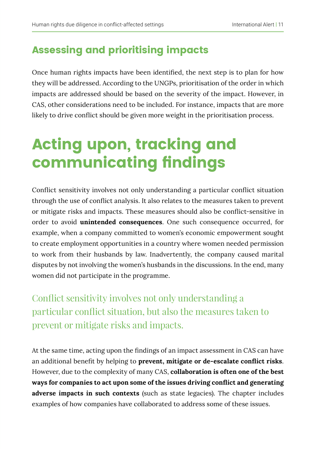### Assessing and prioritising impacts

Once human rights impacts have been identified, the next step is to plan for how they will be addressed. According to the UNGPs, prioritisation of the order in which impacts are addressed should be based on the severity of the impact. However, in CAS, other considerations need to be included. For instance, impacts that are more likely to drive conflict should be given more weight in the prioritisation process.

## Acting upon, tracking and communicating findings

Conflict sensitivity involves not only understanding a particular conflict situation through the use of conflict analysis. It also relates to the measures taken to prevent or mitigate risks and impacts. These measures should also be conflict-sensitive in order to avoid **unintended consequences**. One such consequence occurred, for example, when a company committed to women's economic empowerment sought to create employment opportunities in a country where women needed permission to work from their husbands by law. Inadvertently, the company caused marital disputes by not involving the women's husbands in the discussions. In the end, many women did not participate in the programme.

Conflict sensitivity involves not only understanding a particular conflict situation, but also the measures taken to prevent or mitigate risks and impacts.

At the same time, acting upon the findings of an impact assessment in CAS can have an additional benefit by helping to **prevent, mitigate or de-escalate conflict risks**. However, due to the complexity of many CAS, **collaboration is often one of the best ways for companies to act upon some of the issues driving conflict and generating adverse impacts in such contexts** (such as state legacies). The chapter includes examples of how companies have collaborated to address some of these issues.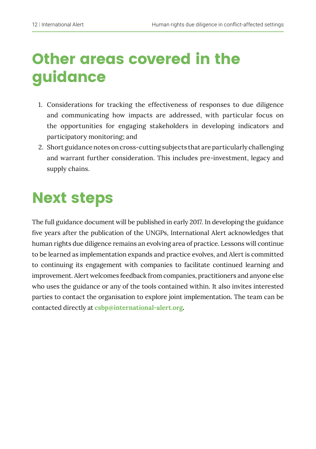## Other areas covered in the guidance

- 1. Considerations for tracking the effectiveness of responses to due diligence and communicating how impacts are addressed, with particular focus on the opportunities for engaging stakeholders in developing indicators and participatory monitoring; and
- 2. Short guidance notes on cross-cutting subjects that are particularly challenging and warrant further consideration. This includes pre-investment, legacy and supply chains.

### Next steps

The full guidance document will be published in early 2017. In developing the guidance five years after the publication of the UNGPs, International Alert acknowledges that human rights due diligence remains an evolving area of practice. Lessons will continue to be learned as implementation expands and practice evolves, and Alert is committed to continuing its engagement with companies to facilitate continued learning and improvement. Alert welcomes feedback from companies, practitioners and anyone else who uses the guidance or any of the tools contained within. It also invites interested parties to contact the organisation to explore joint implementation. The team can be contacted directly at **csbp@international-alert.org.**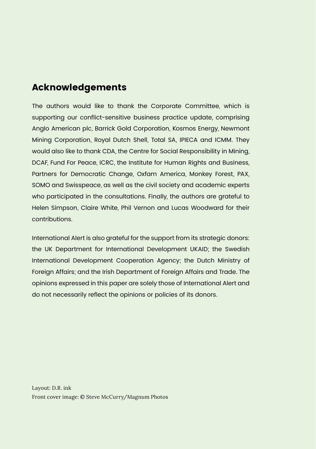### Acknowledgements

The authors would like to thank the Corporate Committee, which is supporting our conflict-sensitive business practice update, comprising Anglo American plc, Barrick Gold Corporation, Kosmos Energy, Newmont Mining Corporation, Royal Dutch Shell, Total SA, IPIECA and ICMM. They would also like to thank CDA, the Centre for Social Responsibility in Mining, DCAF, Fund For Peace, ICRC, the Institute for Human Rights and Business, Partners for Democratic Change, Oxfam America, Monkey Forest, PAX, SOMO and Swisspeace, as well as the civil society and academic experts who participated in the consultations. Finally, the authors are grateful to Helen Simpson, Claire White, Phil Vernon and Lucas Woodward for their contributions.

International Alert is also grateful for the support from its strategic donors: the UK Department for International Development UKAID; the Swedish International Development Cooperation Agency; the Dutch Ministry of Foreign Affairs; and the Irish Department of Foreign Affairs and Trade. The opinions expressed in this paper are solely those of International Alert and do not necessarily reflect the opinions or policies of its donors.